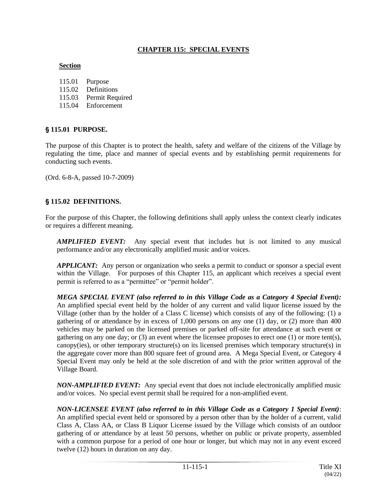### **CHAPTER 115: SPECIAL EVENTS**

#### **Section**

- 115.01 Purpose
- 115.02 Definitions
- 115.03 Permit Required
- 115.04 Enforcement

### ' **115.01 PURPOSE.**

The purpose of this Chapter is to protect the health, safety and welfare of the citizens of the Village by regulating the time, place and manner of special events and by establishing permit requirements for conducting such events.

(Ord. 6-8-A, passed 10-7-2009)

# §115.02 DEFINITIONS.

For the purpose of this Chapter, the following definitions shall apply unless the context clearly indicates or requires a different meaning.

*AMPLIFIED EVENT:* Any special event that includes but is not limited to any musical performance and/or any electronically amplified music and/or voices.

*APPLICANT:* Any person or organization who seeks a permit to conduct or sponsor a special event within the Village. For purposes of this Chapter 115, an applicant which receives a special event permit is referred to as a "permittee" or "permit holder".

*MEGA SPECIAL EVENT (also referred to in this Village Code as a Category 4 Special Event):* An amplified special event held by the holder of any current and valid liquor license issued by the Village (other than by the holder of a Class C license) which consists of any of the following: (1) a gathering of or attendance by in excess of 1,000 persons on any one (1) day, or (2) more than 400 vehicles may be parked on the licensed premises or parked off-site for attendance at such event or gathering on any one day; or  $(3)$  an event where the licensee proposes to erect one  $(1)$  or more tent(s), canopy(ies), or other temporary structure(s) on its licensed premises which temporary structure(s) in the aggregate cover more than 800 square feet of ground area. A Mega Special Event, or Category 4 Special Event may only be held at the sole discretion of and with the prior written approval of the Village Board.

*NON-AMPLIFIED EVENT:* Any special event that does not include electronically amplified music and/or voices. No special event permit shall be required for a non-amplified event.

*NON-LICENSEE EVENT (also referred to in this Village Code as a Category 1 Special Event)*: An amplified special event held or sponsored by a person other than by the holder of a current, valid Class A, Class AA, or Class B Liquor License issued by the Village which consists of an outdoor gathering of or attendance by at least 50 persons, whether on public or private property, assembled with a common purpose for a period of one hour or longer, but which may not in any event exceed twelve (12) hours in duration on any day.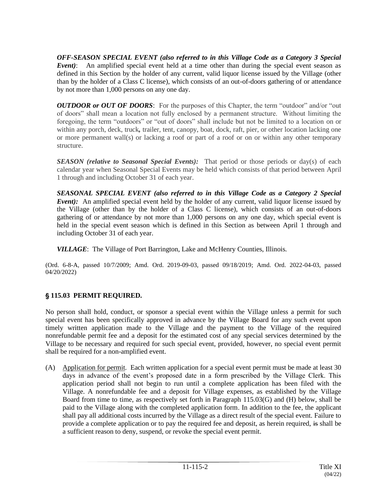*OFF-SEASON SPECIAL EVENT (also referred to in this Village Code as a Category 3 Special Event)*: An amplified special event held at a time other than during the special event season as defined in this Section by the holder of any current, valid liquor license issued by the Village (other than by the holder of a Class C license), which consists of an out-of-doors gathering of or attendance by not more than 1,000 persons on any one day.

*OUTDOOR or OUT OF DOORS*: For the purposes of this Chapter, the term "outdoor" and/or "out of doors" shall mean a location not fully enclosed by a permanent structure. Without limiting the foregoing, the term "outdoors" or "out of doors" shall include but not be limited to a location on or within any porch, deck, truck*,* trailer, tent, canopy, boat, dock, raft, pier, or other location lacking one or more permanent wall(s) or lacking a roof or part of a roof or on or within any other temporary structure.

**SEASON** (relative to Seasonal Special Events): That period or those periods or day(s) of each calendar year when Seasonal Special Events may be held which consists of that period between April 1 through and including October 31 of each year.

*SEASONAL SPECIAL EVENT (also referred to in this Village Code as a Category 2 Special Event*): An amplified special event held by the holder of any current, valid liquor license issued by the Village (other than by the holder of a Class C license), which consists of an out-of-doors gathering of or attendance by not more than 1,000 persons on any one day, which special event is held in the special event season which is defined in this Section as between April 1 through and including October 31 of each year.

*VILLAGE*: The Village of Port Barrington, Lake and McHenry Counties, Illinois.

(Ord. 6-8-A, passed 10/7/2009; Amd. Ord. 2019-09-03, passed 09/18/2019; Amd. Ord. 2022-04-03, passed 04/20/2022)

# ' **115.03 PERMIT REQUIRED.**

No person shall hold, conduct, or sponsor a special event within the Village unless a permit for such special event has been specifically approved in advance by the Village Board for any such event upon timely written application made to the Village and the payment to the Village of the required nonrefundable permit fee and a deposit for the estimated cost of any special services determined by the Village to be necessary and required for such special event, provided, however, no special event permit shall be required for a non-amplified event.

(A) Application for permit*.* Each written application for a special event permit must be made at least 30 days in advance of the event's proposed date in a form prescribed by the Village Clerk. This application period shall not begin to run until a complete application has been filed with the Village. A nonrefundable fee and a deposit for Village expenses, as established by the Village Board from time to time, as respectively set forth in Paragraph 115.03(G) and (H) below, shall be paid to the Village along with the completed application form. In addition to the fee, the applicant shall pay all additional costs incurred by the Village as a direct result of the special event. Failure to provide a complete application or to pay the required fee and deposit, as herein required, is shall be a sufficient reason to deny, suspend, or revoke the special event permit.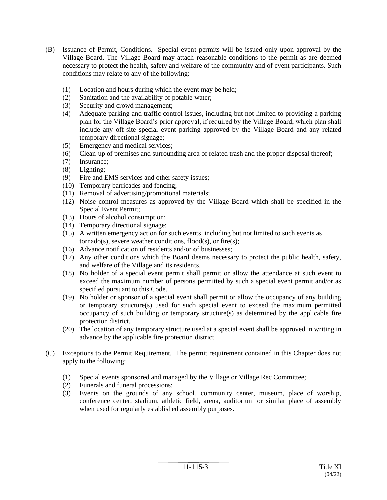- (B) Issuance of Permit, Conditions*.* Special event permits will be issued only upon approval by the Village Board. The Village Board may attach reasonable conditions to the permit as are deemed necessary to protect the health, safety and welfare of the community and of event participants. Such conditions may relate to any of the following:
	- (1) Location and hours during which the event may be held;
	- (2) Sanitation and the availability of potable water;
	- (3) Security and crowd management;
	- (4) Adequate parking and traffic control issues, including but not limited to providing a parking plan for the Village Board's prior approval, if required by the Village Board, which plan shall include any off-site special event parking approved by the Village Board and any related temporary directional signage;
	- (5) Emergency and medical services;
	- (6) Clean-up of premises and surrounding area of related trash and the proper disposal thereof;
	- (7) Insurance;
	- (8) Lighting;
	- (9) Fire and EMS services and other safety issues;
	- (10) Temporary barricades and fencing;
	- (11) Removal of advertising/promotional materials;
	- (12) Noise control measures as approved by the Village Board which shall be specified in the Special Event Permit;
	- (13) Hours of alcohol consumption;
	- (14) Temporary directional signage;
	- (15) A written emergency action for such events, including but not limited to such events as  $tornado(s)$ , severe weather conditions,  $flood(s)$ , or  $fire(s)$ ;
	- (16) Advance notification of residents and/or of businesses;
	- (17) Any other conditions which the Board deems necessary to protect the public health, safety, and welfare of the Village and its residents.
	- (18) No holder of a special event permit shall permit or allow the attendance at such event to exceed the maximum number of persons permitted by such a special event permit and/or as specified pursuant to this Code.
	- (19) No holder or sponsor of a special event shall permit or allow the occupancy of any building or temporary structure(s) used for such special event to exceed the maximum permitted occupancy of such building or temporary structure(s) as determined by the applicable fire protection district.
	- (20) The location of any temporary structure used at a special event shall be approved in writing in advance by the applicable fire protection district.
- (C) Exceptions to the Permit Requirement*.* The permit requirement contained in this Chapter does not apply to the following:
	- (1) Special events sponsored and managed by the Village or Village Rec Committee;
	- (2) Funerals and funeral processions;
	- (3) Events on the grounds of any school, community center, museum, place of worship, conference center, stadium, athletic field, arena, auditorium or similar place of assembly when used for regularly established assembly purposes.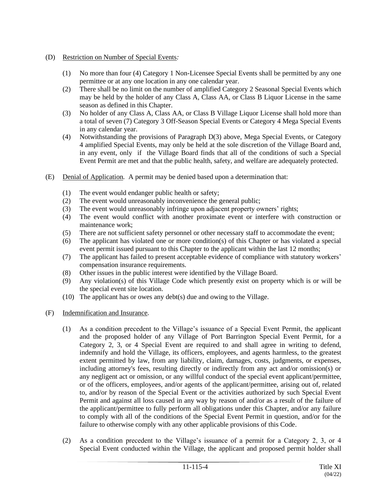- (D) Restriction on Number of Special Events*:*
	- (1) No more than four (4) Category 1 Non-Licensee Special Events shall be permitted by any one permittee or at any one location in any one calendar year.
	- (2) There shall be no limit on the number of amplified Category 2 Seasonal Special Events which may be held by the holder of any Class A, Class AA, or Class B Liquor License in the same season as defined in this Chapter.
	- (3) No holder of any Class A, Class AA, or Class B Village Liquor License shall hold more than a total of seven (7) Category 3 Off-Season Special Events or Category 4 Mega Special Events in any calendar year.
	- (4) Notwithstanding the provisions of Paragraph D(3) above, Mega Special Events, or Category 4 amplified Special Events, may only be held at the sole discretion of the Village Board and, in any event, only if the Village Board finds that all of the conditions of such a Special Event Permit are met and that the public health, safety, and welfare are adequately protected.
- (E) Denial of Application*.* A permit may be denied based upon a determination that:
	- (1) The event would endanger public health or safety;
	- (2) The event would unreasonably inconvenience the general public;
	- (3) The event would unreasonably infringe upon adjacent property owners' rights;
	- (4) The event would conflict with another proximate event or interfere with construction or maintenance work;
	- (5) There are not sufficient safety personnel or other necessary staff to accommodate the event;
	- (6) The applicant has violated one or more condition(s) of this Chapter or has violated a special event permit issued pursuant to this Chapter to the applicant within the last 12 months;
	- (7) The applicant has failed to present acceptable evidence of compliance with statutory workers' compensation insurance requirements.
	- (8) Other issues in the public interest were identified by the Village Board.
	- (9) Any violation(s) of this Village Code which presently exist on property which is or will be the special event site location.
	- (10) The applicant has or owes any debt(s) due and owing to the Village.

#### (F) Indemnification and Insurance*.*

- (1) As a condition precedent to the Village's issuance of a Special Event Permit, the applicant and the proposed holder of any Village of Port Barrington Special Event Permit, for a Category 2, 3, or 4 Special Event are required to and shall agree in writing to defend, indemnify and hold the Village, its officers, employees, and agents harmless, to the greatest extent permitted by law, from any liability, claim, damages, costs, judgments, or expenses, including attorney's fees, resulting directly or indirectly from any act and/or omission(s) or any negligent act or omission, or any willful conduct of the special event applicant/permittee, or of the officers, employees, and/or agents of the applicant/permittee, arising out of, related to, and/or by reason of the Special Event or the activities authorized by such Special Event Permit and against all loss caused in any way by reason of and/or as a result of the failure of the applicant/permittee to fully perform all obligations under this Chapter, and/or any failure to comply with all of the conditions of the Special Event Permit in question, and/or for the failure to otherwise comply with any other applicable provisions of this Code.
- (2) As a condition precedent to the Village's issuance of a permit for a Category 2, 3, or 4 Special Event conducted within the Village, the applicant and proposed permit holder shall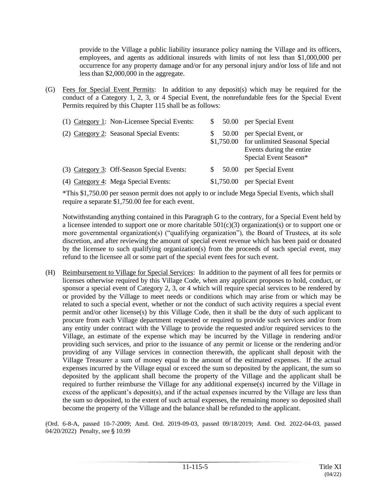provide to the Village a public liability insurance policy naming the Village and its officers, employees, and agents as additional insureds with limits of not less than \$1,000,000 per occurrence for any property damage and/or for any personal injury and/or loss of life and not less than \$2,000,000 in the aggregate.

(G) Fees for Special Event Permits: In addition to any deposit(s) which may be required for the conduct of a Category 1, 2, 3, or 4 Special Event, the nonrefundable fees for the Special Event Permits required by this Chapter 115 shall be as follows:

| (1) Category 1: Non-Licensee Special Events: |            | 50.00 per Special Event                                                                                                 |
|----------------------------------------------|------------|-------------------------------------------------------------------------------------------------------------------------|
| (2) Category 2: Seasonal Special Events:     | 50.00      | per Special Event, or<br>\$1,750.00 for unlimited Seasonal Special<br>Events during the entire<br>Special Event Season* |
| (3) Category 3: Off-Season Special Events:   | 50.00      | per Special Event                                                                                                       |
| (4) Category 4: Mega Special Events:         | \$1,750.00 | per Special Event                                                                                                       |

\*This \$1,750.00 per season permit does not apply to or include Mega Special Events, which shall require a separate \$1,750.00 fee for each event.

Notwithstanding anything contained in this Paragraph G to the contrary, for a Special Event held by a licensee intended to support one or more charitable  $501(c)(3)$  organization(s) or to support one or more governmental organization(s) ("qualifying organization"), the Board of Trustees, at its sole discretion, and after reviewing the amount of special event revenue which has been paid or donated by the licensee to such qualifying organization(s) from the proceeds of such special event, may refund to the licensee all or some part of the special event fees for such event.

(H) Reimbursement to Village for Special Services: In addition to the payment of all fees for permits or licenses otherwise required by this Village Code, when any applicant proposes to hold, conduct, or sponsor a special event of Category 2, 3, or 4 which will require special services to be rendered by or provided by the Village to meet needs or conditions which may arise from or which may be related to such a special event, whether or not the conduct of such activity requires a special event permit and/or other license(s) by this Village Code, then it shall be the duty of such applicant to procure from each Village department requested or required to provide such services and/or from any entity under contract with the Village to provide the requested and/or required services to the Village, an estimate of the expense which may be incurred by the Village in rendering and/or providing such services, and prior to the issuance of any permit or license or the rendering and/or providing of any Village services in connection therewith, the applicant shall deposit with the Village Treasurer a sum of money equal to the amount of the estimated expenses. If the actual expenses incurred by the Village equal or exceed the sum so deposited by the applicant, the sum so deposited by the applicant shall become the property of the Village and the applicant shall be required to further reimburse the Village for any additional expense(s) incurred by the Village in excess of the applicant's deposit(s), and if the actual expenses incurred by the Village are less than the sum so deposited, to the extent of such actual expenses, the remaining money so deposited shall become the property of the Village and the balance shall be refunded to the applicant.

(Ord. 6-8-A, passed 10-7-2009; Amd. Ord. 2019-09-03, passed 09/18/2019; Amd. Ord. 2022-04-03, passed 04/20/2022) Penalty, see § 10.99